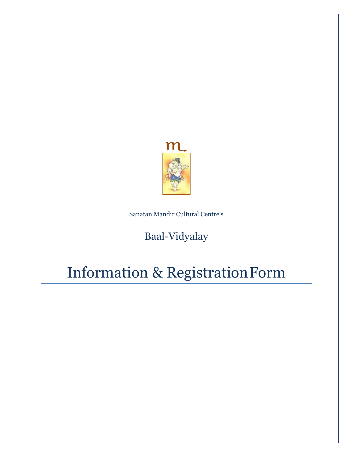

Sanatan Mandir Cultural Centre's

## Baal-Vidyalay

# Information & RegistrationForm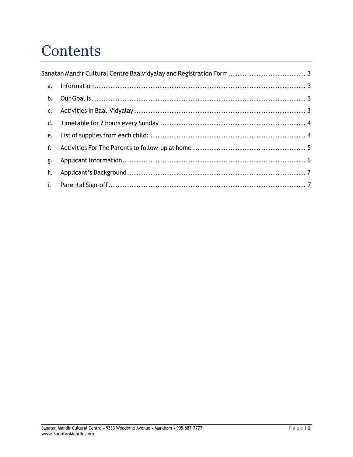# **Contents**

|    | Sanatan Mandir Cultural Centre Baalvidyalay and Registration Form 3 |  |
|----|---------------------------------------------------------------------|--|
| a. |                                                                     |  |
| b. |                                                                     |  |
| c. |                                                                     |  |
| d. |                                                                     |  |
| e. |                                                                     |  |
| f. |                                                                     |  |
| g. |                                                                     |  |
| h. |                                                                     |  |
| i. |                                                                     |  |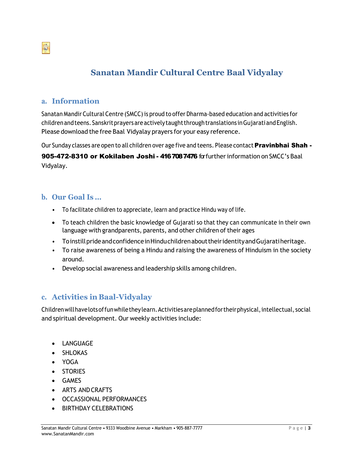<span id="page-2-0"></span>

### **Sanatan Mandir Cultural Centre Baal Vidyalay**

#### **a. Information**

Sanatan Mandir Cultural Centre (SMCC) is proud to offer Dharma-based education and activities for childrenandteens. Sanskritprayersareactivelytaughtthroughtranslations inGujaratiandEnglish. Please download the free Baal Vidyalay prayers for your easy reference.

Our Sunday classes are open to all children over age five and teens. Please contact Pravinbhai Shah -

905-472-8310 or Kokilaben Joshi - 416 708 7476 for further information on SMCC's Baal Vidyalay.

#### **b. Our Goal Is …**

- To facilitate children to appreciate, learn and practice Hindu way of life.
- To teach children the basic knowledge of Gujarati so that they can communicate in their own language with grandparents, parents, and other children of their ages
- ToinstillprideandconfidenceinHinduchildrenabouttheiridentityandGujaratiheritage.
- To raise awareness of being a Hindu and raising the awareness of Hinduism in the society around.
- Develop social awareness and leadership skills among children.

#### **c. Activities in Baal-Vidyalay**

Childrenwillhavelotsoffunwhiletheylearn.Activitiesareplannedfortheirphysical,intellectual, social and spiritual development. Our weekly activities include:

- LANGUAGE
- SHLOKAS
- YOGA
- STORIES
- GAMES
- ARTS AND CRAFTS
- OCCASSIONAL PERFORMANCES
- BIRTHDAY CELEBRATIONS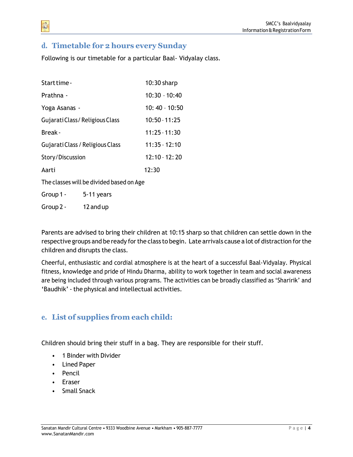#### <span id="page-3-0"></span>**d. Timetable for 2 hours every Sunday**

Following is our timetable for a particular Baal‐ Vidyalay class.

| Start time -                             |                 | $10:30$ sharp   |  |  |
|------------------------------------------|-----------------|-----------------|--|--|
| Prathna -                                |                 | $10:30 - 10:40$ |  |  |
| Yoga Asanas -                            |                 | $10:40 - 10:50$ |  |  |
| Gujarati Class/Religious Class           |                 | $10:50 - 11:25$ |  |  |
| Break -                                  |                 | $11:25 - 11:30$ |  |  |
| Gujarati Class / Religious Class         |                 | $11:35 - 12:10$ |  |  |
| Story/Discussion                         | $12:10 - 12:20$ |                 |  |  |
| Aarti                                    |                 | 12:30           |  |  |
| The classes will be divided based on Age |                 |                 |  |  |
| Group 1 -                                | 5-11 years      |                 |  |  |
|                                          |                 |                 |  |  |

Group 2 - 12 and up

Parents are advised to bring their children at 10:15 sharp so that children can settle down in the respective groups and be ready forthe class to begin. Late arrivals cause a lot of distraction forthe children and disrupts the class.

Cheerful, enthusiastic and cordial atmosphere is at the heart of a successful Baal‐Vidyalay. Physical fitness, knowledge and pride of Hindu Dharma, ability to work together in team and social awareness are being included through various programs. The activities can be broadly classified as 'Sharirik' and 'Baudhik' ‐ the physical and intellectual activities.

#### **e. List of supplies from each child:**

Children should bring their stuff in a bag. They are responsible for their stuff.

- 1 Binder with Divider
- Lined Paper
- Pencil
- Eraser
- Small Snack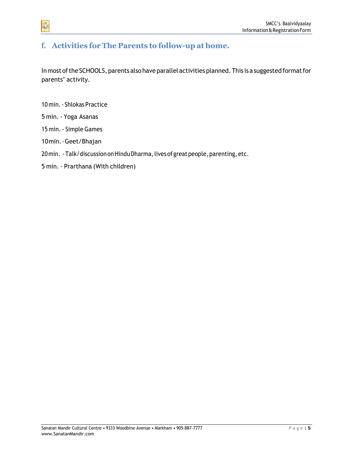#### <span id="page-4-0"></span>**f. Activities for The Parents to follow-up at home.**

In most of the SCHOOLS, parents also have parallel activities planned. This is a suggested format for parents' activity.

- 10 min.‐ Shlokas Practice
- 5 min. ‐ Yoga Asanas

- 15 min. ‐ Simple Games
- 10min.‐Geet/Bhajan
- 20min. Talk/discussion on Hindu Dharma, lives of great people, parenting, etc.
- 5 min. ‐ Prarthana (With children)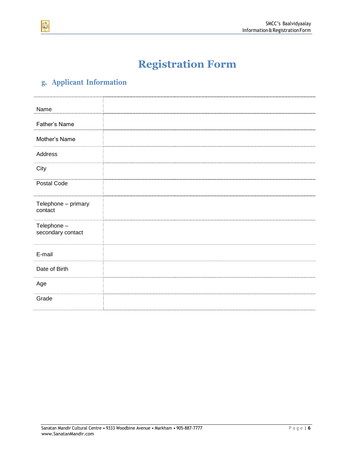

## **Registration Form**

### <span id="page-5-0"></span>**g. Applicant Information**

| Name                             |  |  |
|----------------------------------|--|--|
| Father's Name                    |  |  |
|                                  |  |  |
| Mother's Name                    |  |  |
| Address                          |  |  |
| City                             |  |  |
| Postal Code                      |  |  |
| Telephone - primary<br>contact   |  |  |
| Telephone -<br>secondary contact |  |  |
| E-mail                           |  |  |
| Date of Birth                    |  |  |
| Age                              |  |  |
| Grade                            |  |  |